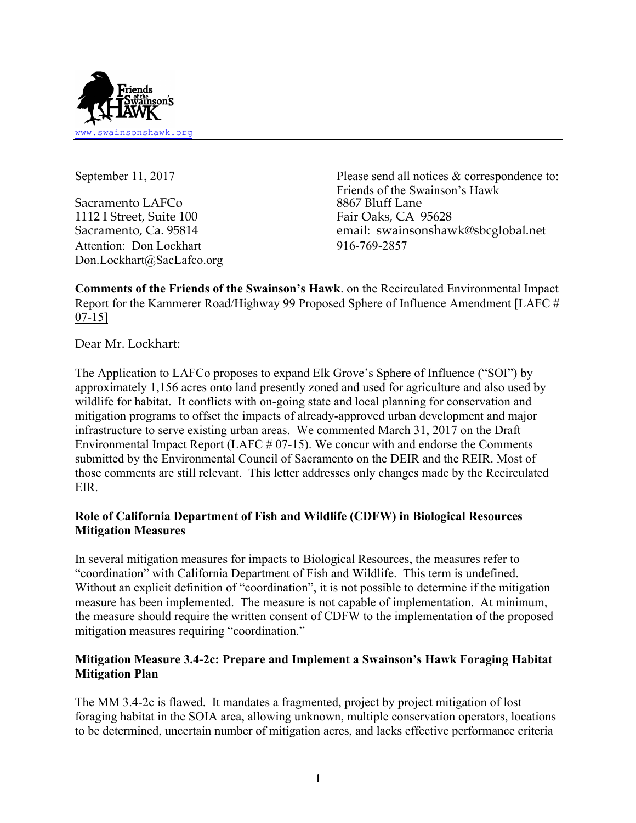

Sacramento LAFCo 8867 Bluff Lane 1112 I Street, Suite 100 Fair Oaks, CA 95628 Attention: Don Lockhart 916-769-2857 Don.Lockhart@SacLafco.org

September 11, 2017 Please send all notices & correspondence to: Friends of the Swainson's Hawk Sacramento, Ca. 95814 email: swainsonshawk@sbcglobal.net

**Comments of the Friends of the Swainson's Hawk**. on the Recirculated Environmental Impact Report for the Kammerer Road/Highway 99 Proposed Sphere of Influence Amendment [LAFC # 07-15]

Dear Mr. Lockhart:

The Application to LAFCo proposes to expand Elk Grove's Sphere of Influence ("SOI") by approximately 1,156 acres onto land presently zoned and used for agriculture and also used by wildlife for habitat. It conflicts with on-going state and local planning for conservation and mitigation programs to offset the impacts of already-approved urban development and major infrastructure to serve existing urban areas. We commented March 31, 2017 on the Draft Environmental Impact Report (LAFC # 07-15). We concur with and endorse the Comments submitted by the Environmental Council of Sacramento on the DEIR and the REIR. Most of those comments are still relevant. This letter addresses only changes made by the Recirculated EIR.

## **Role of California Department of Fish and Wildlife (CDFW) in Biological Resources Mitigation Measures**

In several mitigation measures for impacts to Biological Resources, the measures refer to "coordination" with California Department of Fish and Wildlife. This term is undefined. Without an explicit definition of "coordination", it is not possible to determine if the mitigation measure has been implemented. The measure is not capable of implementation. At minimum, the measure should require the written consent of CDFW to the implementation of the proposed mitigation measures requiring "coordination."

## **Mitigation Measure 3.4-2c: Prepare and Implement a Swainson's Hawk Foraging Habitat Mitigation Plan**

The MM 3.4-2c is flawed. It mandates a fragmented, project by project mitigation of lost foraging habitat in the SOIA area, allowing unknown, multiple conservation operators, locations to be determined, uncertain number of mitigation acres, and lacks effective performance criteria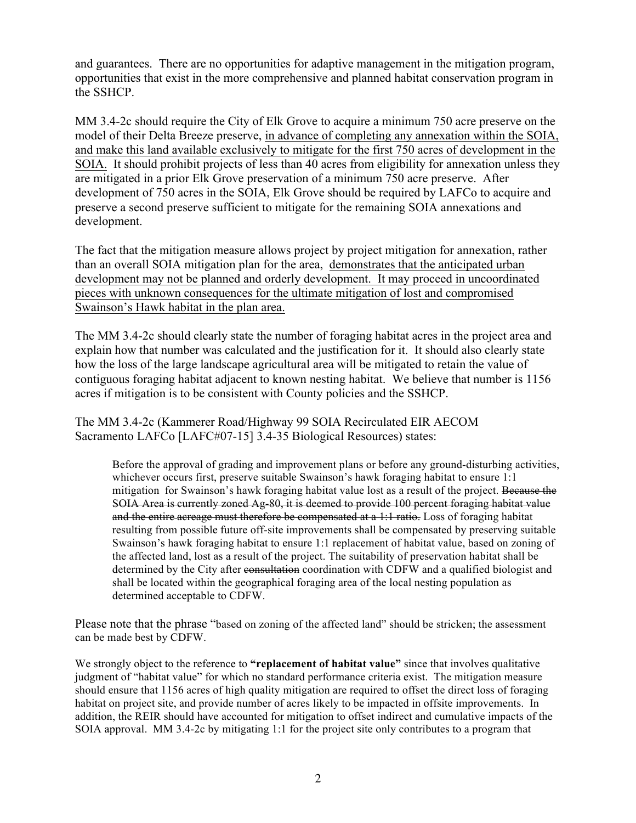and guarantees. There are no opportunities for adaptive management in the mitigation program, opportunities that exist in the more comprehensive and planned habitat conservation program in the SSHCP.

MM 3.4-2c should require the City of Elk Grove to acquire a minimum 750 acre preserve on the model of their Delta Breeze preserve, in advance of completing any annexation within the SOIA, and make this land available exclusively to mitigate for the first 750 acres of development in the SOIA. It should prohibit projects of less than 40 acres from eligibility for annexation unless they are mitigated in a prior Elk Grove preservation of a minimum 750 acre preserve. After development of 750 acres in the SOIA, Elk Grove should be required by LAFCo to acquire and preserve a second preserve sufficient to mitigate for the remaining SOIA annexations and development.

The fact that the mitigation measure allows project by project mitigation for annexation, rather than an overall SOIA mitigation plan for the area, demonstrates that the anticipated urban development may not be planned and orderly development. It may proceed in uncoordinated pieces with unknown consequences for the ultimate mitigation of lost and compromised Swainson's Hawk habitat in the plan area.

The MM 3.4-2c should clearly state the number of foraging habitat acres in the project area and explain how that number was calculated and the justification for it. It should also clearly state how the loss of the large landscape agricultural area will be mitigated to retain the value of contiguous foraging habitat adjacent to known nesting habitat. We believe that number is 1156 acres if mitigation is to be consistent with County policies and the SSHCP.

The MM 3.4-2c (Kammerer Road/Highway 99 SOIA Recirculated EIR AECOM Sacramento LAFCo [LAFC#07-15] 3.4-35 Biological Resources) states:

Before the approval of grading and improvement plans or before any ground-disturbing activities, whichever occurs first, preserve suitable Swainson's hawk foraging habitat to ensure 1:1 mitigation for Swainson's hawk foraging habitat value lost as a result of the project. Because the SOIA Area is currently zoned Ag-80, it is deemed to provide 100 percent foraging habitat value and the entire acreage must therefore be compensated at  $a + 1$  ratio. Loss of foraging habitat resulting from possible future off-site improvements shall be compensated by preserving suitable Swainson's hawk foraging habitat to ensure 1:1 replacement of habitat value, based on zoning of the affected land, lost as a result of the project. The suitability of preservation habitat shall be determined by the City after consultation coordination with CDFW and a qualified biologist and shall be located within the geographical foraging area of the local nesting population as determined acceptable to CDFW.

Please note that the phrase "based on zoning of the affected land" should be stricken; the assessment can be made best by CDFW.

We strongly object to the reference to **"replacement of habitat value"** since that involves qualitative judgment of "habitat value" for which no standard performance criteria exist. The mitigation measure should ensure that 1156 acres of high quality mitigation are required to offset the direct loss of foraging habitat on project site, and provide number of acres likely to be impacted in offsite improvements. In addition, the REIR should have accounted for mitigation to offset indirect and cumulative impacts of the SOIA approval. MM 3.4-2c by mitigating 1:1 for the project site only contributes to a program that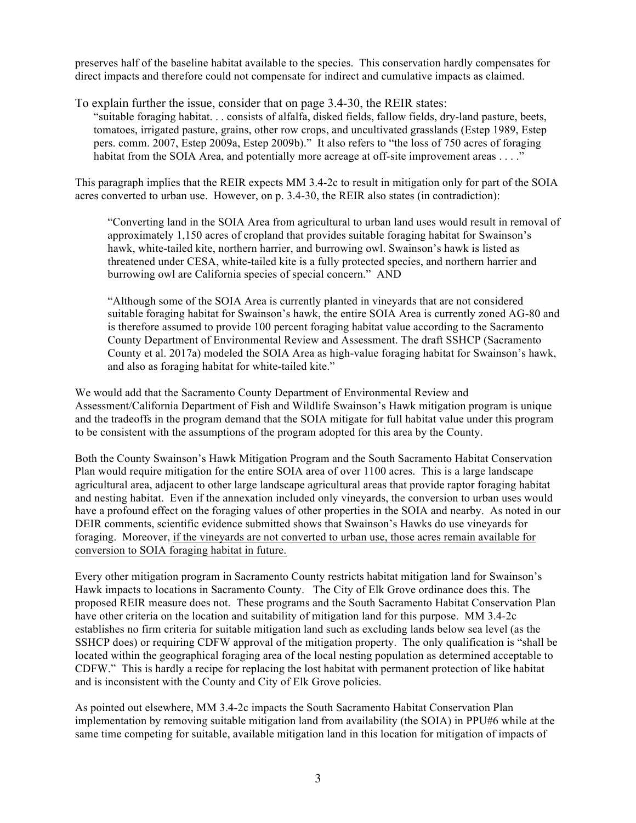preserves half of the baseline habitat available to the species. This conservation hardly compensates for direct impacts and therefore could not compensate for indirect and cumulative impacts as claimed.

To explain further the issue, consider that on page 3.4-30, the REIR states:

"suitable foraging habitat. . . consists of alfalfa, disked fields, fallow fields, dry-land pasture, beets, tomatoes, irrigated pasture, grains, other row crops, and uncultivated grasslands (Estep 1989, Estep pers. comm. 2007, Estep 2009a, Estep 2009b)." It also refers to "the loss of 750 acres of foraging habitat from the SOIA Area, and potentially more acreage at off-site improvement areas . . . ."

This paragraph implies that the REIR expects MM 3.4-2c to result in mitigation only for part of the SOIA acres converted to urban use. However, on p. 3.4-30, the REIR also states (in contradiction):

"Converting land in the SOIA Area from agricultural to urban land uses would result in removal of approximately 1,150 acres of cropland that provides suitable foraging habitat for Swainson's hawk, white-tailed kite, northern harrier, and burrowing owl. Swainson's hawk is listed as threatened under CESA, white-tailed kite is a fully protected species, and northern harrier and burrowing owl are California species of special concern." AND

"Although some of the SOIA Area is currently planted in vineyards that are not considered suitable foraging habitat for Swainson's hawk, the entire SOIA Area is currently zoned AG-80 and is therefore assumed to provide 100 percent foraging habitat value according to the Sacramento County Department of Environmental Review and Assessment. The draft SSHCP (Sacramento County et al. 2017a) modeled the SOIA Area as high-value foraging habitat for Swainson's hawk, and also as foraging habitat for white-tailed kite."

We would add that the Sacramento County Department of Environmental Review and Assessment/California Department of Fish and Wildlife Swainson's Hawk mitigation program is unique and the tradeoffs in the program demand that the SOIA mitigate for full habitat value under this program to be consistent with the assumptions of the program adopted for this area by the County.

Both the County Swainson's Hawk Mitigation Program and the South Sacramento Habitat Conservation Plan would require mitigation for the entire SOIA area of over 1100 acres. This is a large landscape agricultural area, adjacent to other large landscape agricultural areas that provide raptor foraging habitat and nesting habitat. Even if the annexation included only vineyards, the conversion to urban uses would have a profound effect on the foraging values of other properties in the SOIA and nearby. As noted in our DEIR comments, scientific evidence submitted shows that Swainson's Hawks do use vineyards for foraging. Moreover, if the vineyards are not converted to urban use, those acres remain available for conversion to SOIA foraging habitat in future.

Every other mitigation program in Sacramento County restricts habitat mitigation land for Swainson's Hawk impacts to locations in Sacramento County. The City of Elk Grove ordinance does this. The proposed REIR measure does not. These programs and the South Sacramento Habitat Conservation Plan have other criteria on the location and suitability of mitigation land for this purpose. MM 3.4-2c establishes no firm criteria for suitable mitigation land such as excluding lands below sea level (as the SSHCP does) or requiring CDFW approval of the mitigation property. The only qualification is "shall be located within the geographical foraging area of the local nesting population as determined acceptable to CDFW." This is hardly a recipe for replacing the lost habitat with permanent protection of like habitat and is inconsistent with the County and City of Elk Grove policies.

As pointed out elsewhere, MM 3.4-2c impacts the South Sacramento Habitat Conservation Plan implementation by removing suitable mitigation land from availability (the SOIA) in PPU#6 while at the same time competing for suitable, available mitigation land in this location for mitigation of impacts of